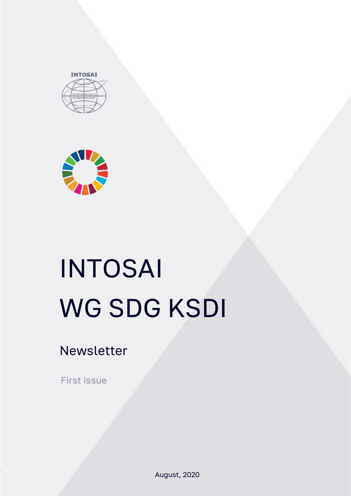



# INTOSAI WG SDG KSDI

Newsletter

First issue

August, 2020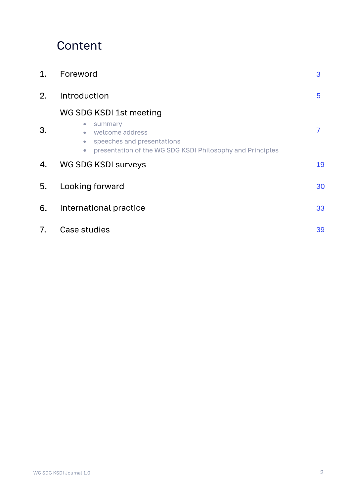# Сontent

| 1. | Foreword                                                                                                                                                                                | 3  |
|----|-----------------------------------------------------------------------------------------------------------------------------------------------------------------------------------------|----|
| 2. | Introduction                                                                                                                                                                            | 5  |
|    | WG SDG KSDI 1st meeting                                                                                                                                                                 |    |
| 3. | summary<br>$\langle \cdot \rangle$<br>welcome address<br>$\bullet$<br>speeches and presentations<br>$\bullet$<br>presentation of the WG SDG KSDI Philosophy and Principles<br>$\bullet$ | 7  |
| 4. | <b>WG SDG KSDI surveys</b>                                                                                                                                                              | 19 |
| 5. | Looking forward                                                                                                                                                                         | 30 |
| 6. | International practice                                                                                                                                                                  | 33 |
| 7. | Case studies                                                                                                                                                                            | 39 |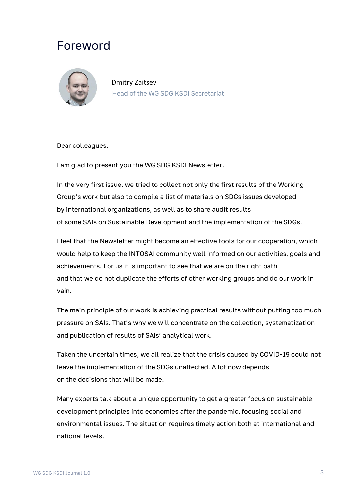# Foreword



Dmitry Zaitsev Head of the WG SDG KSDI Secretariat

Dear colleagues,

I am glad to present you the WG SDG KSDI Newsletter.

In the very first issue, we tried to collect not only the first results of the Working Group's work but also to compile a list of materials on SDGs issues developed by international organizations, as well as to share audit results of some SAIs on Sustainable Development and the implementation of the SDGs.

I feel that the Newsletter might become an effective tools for our cooperation, which would help to keep the INTOSAI community well informed on our activities, goals and achievements. For us it is important to see that we are on the right path and that we do not duplicate the efforts of other working groups and do our work in vain.

The main principle of our work is achieving practical results without putting too much pressure on SAIs. That's why we will concentrate on the collection, systematization and publication of results of SAIs' analytical work.

Taken the uncertain times, we all realize that the crisis caused by COVID-19 could not leave the implementation of the SDGs unaffected. A lot now depends on the decisions that will be made.

Many experts talk about a unique opportunity to get a greater focus on sustainable development principles into economies after the pandemic, focusing social and environmental issues. The situation requires timely action both at international and national levels.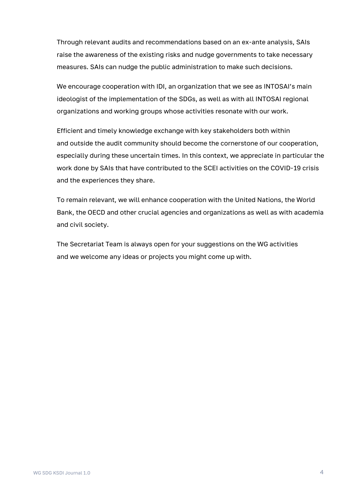Through relevant audits and recommendations based on an ex-ante analysis, SAIs raise the awareness of the existing risks and nudge governments to take necessary measures. SAIs can nudge the public administration to make such decisions.

We encourage cooperation with IDI, an organization that we see as INTOSAI's main ideologist of the implementation of the SDGs, as well as with all INTOSAI regional organizations and working groups whose activities resonate with our work.

Efficient and timely knowledge exchange with key stakeholders both within and outside the audit community should become the cornerstone of our cooperation, especially during these uncertain times. In this context, we appreciate in particular the work done by SAIs that have contributed to the SCEI activities on the COVID-19 crisis and the experiences they share.

To remain relevant, we will enhance cooperation with the United Nations, the World Bank, the OECD and other crucial agencies and organizations as well as with academia and civil society.

The Secretariat Team is always open for your suggestions on the WG activities and we welcome any ideas or projects you might come up with.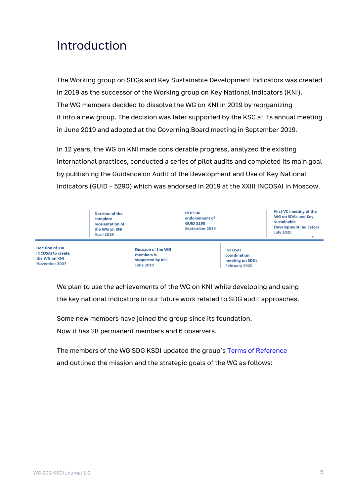# Introduction

The Working group on SDGs and Key Sustainable Development Indicators was created in 2019 as the successor of the Working group on Key National Indicators (KNI). The WG members decided to dissolve the WG on KNI in 2019 by reorganizing it into a new group. The decision was later supported by the KSC at its annual meeting in June 2019 and adopted at the Governing Board meeting in September 2019.

In 12 years, the WG on KNI made considerable progress, analyzed the existing international practices, conducted a series of pilot audits and completed its main goal by publishing the Guidance on Audit of the Development and Use of Key National Indicators (GUID – 5290) which was endorsed in 2019 at the XXIII INCOSAI in Moscow.

|                                                                                      | <b>Decision of the</b><br>complete<br>reorientation of<br>the WG on KNI<br><b>April 2019</b> |                                                                                 | <b>INTOSAI</b><br>endorsement of<br><b>GUID 5290</b><br>September 2019 |                                                                           | First VC meeting of the<br>WG on SDGs and Key<br><b>Sustainable</b><br><b>Development Indicators</b><br><b>July 2020</b> |
|--------------------------------------------------------------------------------------|----------------------------------------------------------------------------------------------|---------------------------------------------------------------------------------|------------------------------------------------------------------------|---------------------------------------------------------------------------|--------------------------------------------------------------------------------------------------------------------------|
| <b>Decision of XIX</b><br><b>INCOSAI to create</b><br>the WG on KNI<br>November 2007 |                                                                                              | <b>Decision of the WG</b><br>members is<br>supported by KSC<br><b>June 2019</b> |                                                                        | <b>INTOSAI</b><br>coordination<br>meeting on SDGs<br><b>February 2020</b> |                                                                                                                          |

We plan to use the achievements of the WG on KNI while developing and using the key national indicators in our future work related to SDG audit approaches.

Some new members have joined the group since its foundation.

Now it has 28 permanent members and 6 observers.

The members of the WG SDG KSDI updated the group's [Terms of Reference](https://ach.gov.ru/upload/pdf/intosai-working-group-on-key-national-indicators-/ToR.pdf) and outlined the mission and the strategic goals of the WG as follows: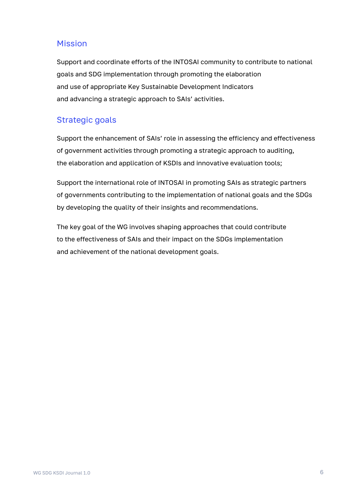#### Mission

Support and coordinate efforts of the INTOSAI community to contribute to national goals and SDG implementation through promoting the elaboration and use of appropriate Key Sustainable Development Indicators and advancing a strategic approach to SAIs' activities.

### Strategic goals

Support the enhancement of SAIs' role in assessing the efficiency and effectiveness of government activities through promoting a strategic approach to auditing, the elaboration and application of KSDIs and innovative evaluation tools;

Support the international role of INTOSAI in promoting SAIs as strategic partners of governments contributing to the implementation of national goals and the SDGs by developing the quality of their insights and recommendations.

The key goal of the WG involves shaping approaches that could contribute to the effectiveness of SAIs and their impact on the SDGs implementation and achievement of the national development goals.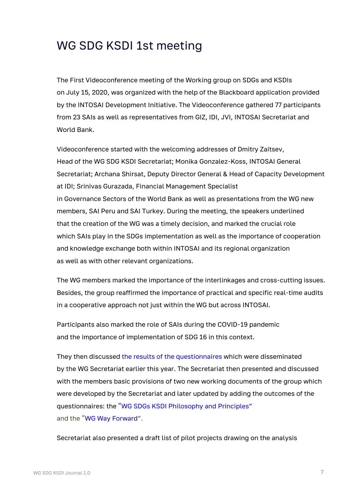# WG SDG KSDI 1st meeting

The First Videoconference meeting of the Working group on SDGs and KSDIs on July 15, 2020, was organized with the help of the Blackboard application provided by the INTOSAI Development Initiative. The Videoconference gathered 77 participants from 23 SAIs as well as representatives from GIZ, IDI, JVI, INTOSAI Secretariat and World Bank.

Videoconference started with the welcoming addresses of Dmitry Zaitsev, Head of the WG SDG KSDI Secretariat; Monika Gonzalez-Koss, INTOSAI General Secretariat; Archana Shirsat, Deputy Director General & Head of Capacity Development at IDI; Srinivas Gurazada, Financial Management Specialist in Governance Sectors of the World Bank as well as presentations from the WG new members, SAI Peru and SAI Turkey. During the meeting, the speakers underlined that the creation of the WG was a timely decision, and marked the crucial role which SAIs play in the SDGs implementation as well as the importance of cooperation and knowledge exchange both within INTOSAI and its regional organization as well as with other relevant organizations.

The WG members marked the importance of the interlinkages and cross-cutting issues. Besides, the group reaffirmed the importance of practical and specific real-time audits in a cooperative approach not just within the WG but across INTOSAI.

Participants also marked the role of SAIs during the COVID-19 pandemic and the importance of implementation of SDG 16 in this context.

They then discussed the results [of the questionnaires](https://ach.gov.ru/en/page/wgsdg-ksdi-working-papers) which were disseminated by the WG Secretariat earlier this year. The Secretariat then presented and discussed with the members basic provisions of two new working documents of the group which were developed by the Secretariat and later updated by adding the outcomes of the questionnaires: the "[WG SDGs KSDI Philosophy and Principles](https://ach.gov.ru/upload/pdf/intosai-working-group-on-key-national-indicators-/Philosophy%20and%20Principles.pdf)" and the "[WG Way Forward](https://ach.gov.ru/upload/pdf/intosai-working-group-on-key-national-indicators-/Way%20Forward.pdf)".

Secretariat also presented a draft list of pilot projects drawing on the analysis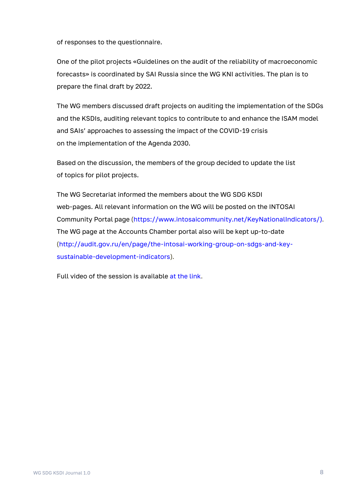of responses to the questionnaire.

One of the pilot projects «Guidelines on the audit of the reliability of macroeconomic forecasts» is coordinated by SAI Russia since the WG KNI activities. The plan is to prepare the final draft by 2022.

The WG members discussed draft projects on auditing the implementation of the SDGs and the KSDIs, auditing relevant topics to contribute to and enhance the ISAM model and SAIs' approaches to assessing the impact of the COVID-19 crisis on the implementation of the Agenda 2030.

Based on the discussion, the members of the group decided to update the list of topics for pilot projects.

The WG Secretariat informed the members about the WG SDG KSDI web-pages. All relevant information on the WG will be posted on the INTOSAI Community Portal page [\(https://www.intosaicommunity.net/KeyNationalIndicators/\)](https://www.intosaicommunity.net/KeyNationalIndicators/). The WG page at the Accounts Chamber portal also will be kept up-to-date [\(http://audit.gov.ru/en/page/the-intosai-working-group-on-sdgs-and-key](http://audit.gov.ru/en/page/the-intosai-working-group-on-sdgs-and-key-sustainable-development-indicators)[sustainable-development-indicators\)](http://audit.gov.ru/en/page/the-intosai-working-group-on-sdgs-and-key-sustainable-development-indicators).

Full video of the session is available [at the link.](https://eu.bbcollab.com/recording/7ed11ea486f4472d8c2f81e048d24241)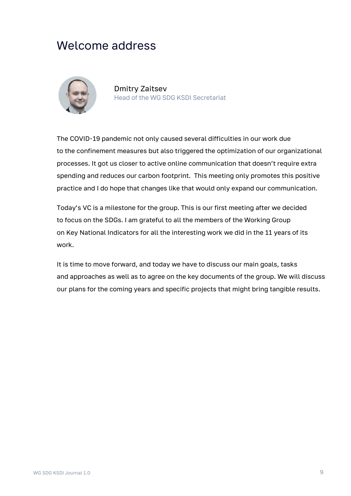# Welcome address



Dmitry Zaitsev Head of the WG SDG KSDI Secretariat

The COVID-19 pandemic not only caused several difficulties in our work due to the confinement measures but also triggered the optimization of our organizational processes. It got us closer to active online communication that doesn't require extra spending and reduces our carbon footprint. This meeting only promotes this positive practice and I do hope that changes like that would only expand our communication.

Today's VC is a milestone for the group. This is our first meeting after we decided to focus on the SDGs. I am grateful to all the members of the Working Group on Key National Indicators for all the interesting work we did in the 11 years of its work.

It is time to move forward, and today we have to discuss our main goals, tasks and approaches as well as to agree on the key documents of the group. We will discuss our plans for the coming years and specific projects that might bring tangible results.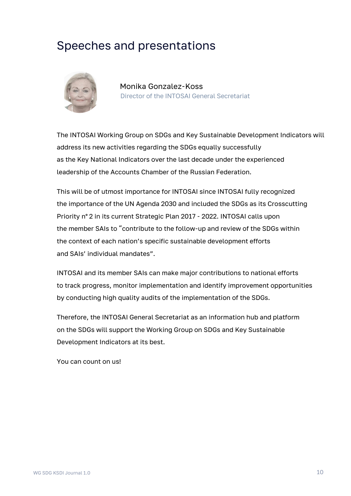# Speeches and presentations



Monika Gonzalez-Koss Director of the INTOSAI General Secretariat

The INTOSAI Working Group on SDGs and Key Sustainable Development Indicators will address its new activities regarding the SDGs equally successfully as the Key National Indicators over the last decade under the experienced leadership of the Accounts Chamber of the Russian Federation.

This will be of utmost importance for INTOSAI since INTOSAI fully recognized the importance of the UN Agenda 2030 and included the SDGs as its Crosscutting Priority n° 2 in its current Strategic Plan 2017 - 2022. INTOSAI calls upon the member SAIs to "contribute to the follow-up and review of the SDGs within the context of each nation's specific sustainable development efforts and SAIs' individual mandates".

INTOSAI and its member SAIs can make major contributions to national efforts to track progress, monitor implementation and identify improvement opportunities by conducting high quality audits of the implementation of the SDGs.

Therefore, the INTOSAI General Secretariat as an information hub and platform on the SDGs will support the Working Group on SDGs and Key Sustainable Development Indicators at its best.

You can count on us!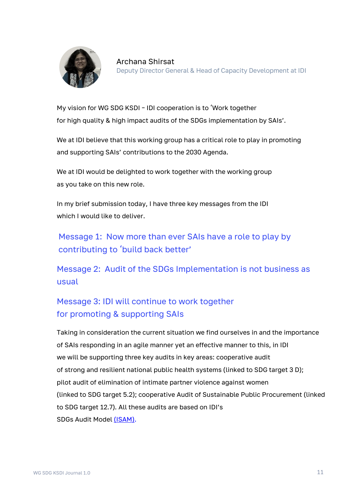

My vision for WG SDG KSDI – IDI cooperation is to 'Work together for high quality & high impact audits of the SDGs implementation by SAIs'.

We at IDI believe that this working group has a critical role to play in promoting and supporting SAIs' contributions to the 2030 Agenda.

We at IDI would be delighted to work together with the working group as you take on this new role.

In my brief submission today, I have three key messages from the IDI which I would like to deliver.

Message 1: Now more than ever SAIs have a role to play by contributing to 'build back better'

Message 2: Audit of the SDGs Implementation is not business as usual

# Message 3: IDI will continue to work together for promoting & supporting SAIs

Taking in consideration the current situation we find ourselves in and the importance of SAIs responding in an agile manner yet an effective manner to this, in IDI we will be supporting three key audits in key areas: cooperative audit of strong and resilient national public health systems (linked to SDG target 3 D); pilot audit of elimination of intimate partner violence against women (linked to SDG target 5.2); cooperative Audit of Sustainable Public Procurement (linked to SDG target 12.7). All these audits are based on IDI's SDGs Audit Model [\(ISAM\).](https://www.idi.no/en/isam)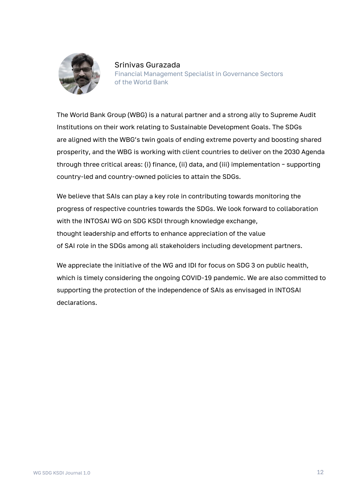

Srinivas Gurazada Financial Management Specialist in Governance Sectors of the World Bank

The World Bank Group (WBG) is a natural partner and a strong ally to Supreme Audit Institutions on their work relating to Sustainable Development Goals. The SDGs are aligned with the WBG's twin goals of ending extreme poverty and boosting shared prosperity, and the WBG is working with client countries to deliver on the 2030 Agenda through three critical areas: (i) finance, (ii) data, and (iii) implementation – supporting country-led and country-owned policies to attain the SDGs.

We believe that SAIs can play a key role in contributing towards monitoring the progress of respective countries towards the SDGs. We look forward to collaboration with the INTOSAI WG on SDG KSDI through knowledge exchange, thought leadership and efforts to enhance appreciation of the value of SAI role in the SDGs among all stakeholders including development partners.

We appreciate the initiative of the WG and IDI for focus on SDG 3 on public health, which is timely considering the ongoing COVID-19 pandemic. We are also committed to supporting the protection of the independence of SAIs as envisaged in INTOSAI declarations.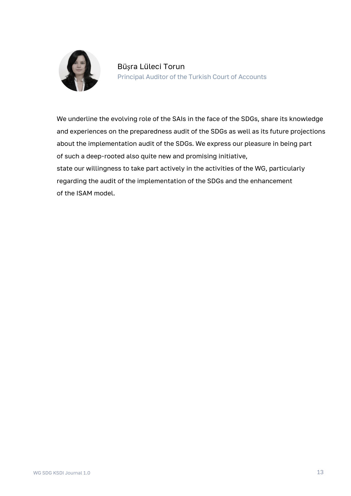

We underline the evolving role of the SAIs in the face of the SDGs, share its knowledge and experiences on the preparedness audit of the SDGs as well as its future projections about the implementation audit of the SDGs. We express our pleasure in being part of such a deep-rooted also quite new and promising initiative, state our willingness to take part actively in the activities of the WG, particularly regarding the audit of the implementation of the SDGs and the enhancement of the ISAM model.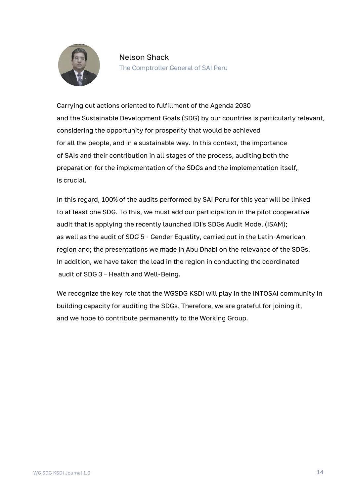

#### Nelson Shack The Comptroller General of SAI Peru

Carrying out actions oriented to fulfillment of the Agenda 2030 and the Sustainable Development Goals (SDG) by our countries is particularly relevant, considering the opportunity for prosperity that would be achieved for all the people, and in a sustainable way. In this context, the importance of SAIs and their contribution in all stages of the process, auditing both the preparation for the implementation of the SDGs and the implementation itself, is crucial.

In this regard, 100% of the audits performed by SAI Peru for this year will be linked to at least one SDG. To this, we must add our participation in the pilot cooperative audit that is applying the recently launched IDI's SDGs Audit Model (ISAM); as well as the audit of SDG 5 - Gender Equality, carried out in the Latin-American region and; the presentations we made in Abu Dhabi on the relevance of the SDGs. In addition, we have taken the lead in the region in conducting the coordinated audit of SDG 3 – Health and Well-Being.

We recognize the key role that the WGSDG KSDI will play in the INTOSAI community in building capacity for auditing the SDGs. Therefore, we are grateful for joining it, and we hope to contribute permanently to the Working Group.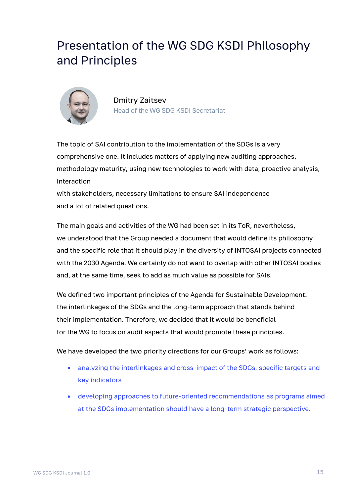# Presentation of the WG SDG KSDI Philosophy and Principles



Dmitry Zaitsev Head of the WG SDG KSDI Secretariat

The topic of SAI contribution to the implementation of the SDGs is a very comprehensive one. It includes matters of applying new auditing approaches, methodology maturity, using new technologies to work with data, proactive analysis, interaction

with stakeholders, necessary limitations to ensure SAI independence and a lot of related questions.

The main goals and activities of the WG had been set in its ToR, nevertheless, we understood that the Group needed a document that would define its philosophy and the specific role that it should play in the diversity of INTOSAI projects connected with the 2030 Agenda. We certainly do not want to overlap with other INTOSAI bodies and, at the same time, seek to add as much value as possible for SAIs.

We defined two important principles of the Agenda for Sustainable Development: the interlinkages of the SDGs and the long-term approach that stands behind their implementation. Therefore, we decided that it would be beneficial for the WG to focus on audit aspects that would promote these principles.

We have developed the two priority directions for our Groups' work as follows:

- analyzing the interlinkages and cross-impact of the SDGs, specific targets and key indicators
- developing approaches to future-oriented recommendations as programs aimed at the SDGs implementation should have a long-term strategic perspective.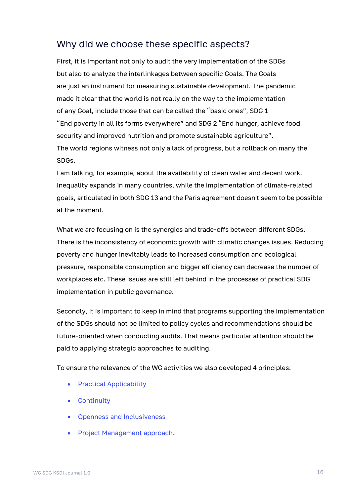# Why did we choose these specific aspects?

First, it is important not only to audit the very implementation of the SDGs but also to analyze the interlinkages between specific Goals. The Goals are just an instrument for measuring sustainable development. The pandemic made it clear that the world is not really on the way to the implementation of any Goal, include those that can be called the "basic ones", SDG 1 "End poverty in all its forms everywhere" and SDG 2 "End hunger, achieve food security and improved nutrition and promote sustainable agriculture". The world regions witness not only a lack of progress, but a rollback on many the SDGs.

I am talking, for example, about the availability of clean water and decent work. Inequality expands in many countries, while the implementation of climate-related goals, articulated in both SDG 13 and the Paris agreement doesn't seem to be possible at the moment.

What we are focusing on is the synergies and trade-offs between different SDGs. There is the inconsistency of economic growth with climatic changes issues. Reducing poverty and hunger inevitably leads to increased consumption and ecological pressure, responsible consumption and bigger efficiency can decrease the number of workplaces etc. These issues are still left behind in the processes of practical SDG implementation in public governance.

Secondly, it is important to keep in mind that programs supporting the implementation of the SDGs should not be limited to policy cycles and recommendations should be future-oriented when conducting audits. That means particular attention should be paid to applying strategic approaches to auditing.

To ensure the relevance of the WG activities we also developed 4 principles:

- Practical Applicability
- Continuity
- Openness and Inclusiveness
- Project Management approach.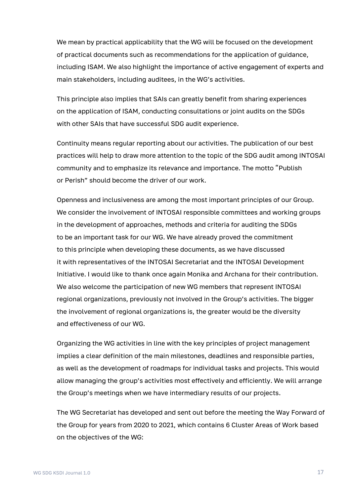We mean by practical applicability that the WG will be focused on the development of practical documents such as recommendations for the application of guidance, including ISAM. We also highlight the importance of active engagement of experts and main stakeholders, including auditees, in the WG's activities.

This principle also implies that SAIs can greatly benefit from sharing experiences on the application of ISAM, conducting consultations or joint audits on the SDGs with other SAIs that have successful SDG audit experience.

Continuity means regular reporting about our activities. The publication of our best practices will help to draw more attention to the topic of the SDG audit among INTOSAI community and to emphasize its relevance and importance. The motto "Publish or Perish" should become the driver of our work.

Openness and inclusiveness are among the most important principles of our Group. We consider the involvement of INTOSAI responsible committees and working groups in the development of approaches, methods and criteria for auditing the SDGs to be an important task for our WG. We have already proved the commitment to this principle when developing these documents, as we have discussed it with representatives of the INTOSAI Secretariat and the INTOSAI Development Initiative. I would like to thank once again Monika and Archana for their contribution. We also welcome the participation of new WG members that represent INTOSAI regional organizations, previously not involved in the Group's activities. The bigger the involvement of regional organizations is, the greater would be the diversity and effectiveness of our WG.

Organizing the WG activities in line with the key principles of project management implies a clear definition of the main milestones, deadlines and responsible parties, as well as the development of roadmaps for individual tasks and projects. This would allow managing the group's activities most effectively and efficiently. We will arrange the Group's meetings when we have intermediary results of our projects.

The WG Secretariat has developed and sent out before the meeting the Way Forward of the Group for years from 2020 to 2021, which contains 6 Cluster Areas of Work based on the objectives of the WG: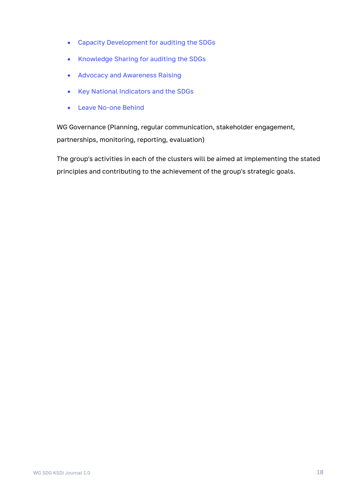- Capacity Development for auditing the SDGs
- Knowledge Sharing for auditing the SDGs
- Advocacy and Awareness Raising
- Key National Indicators and the SDGs
- Leave No-one Behind

WG Governance (Planning, regular communication, stakeholder engagement, partnerships, monitoring, reporting, evaluation)

The group's activities in each of the clusters will be aimed at implementing the stated principles and contributing to the achievement of the group's strategic goals.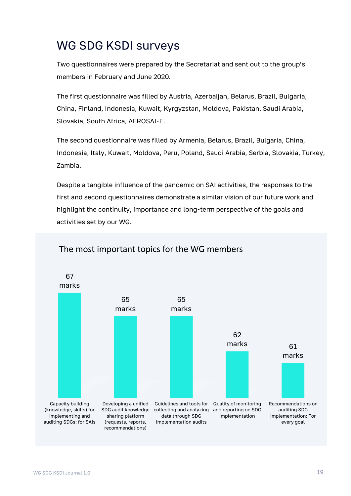# WG SDG KSDI surveys

Two questionnaires were prepared by the Secretariat and sent out to the group's members in February and June 2020.

The first questionnaire was filled by Austria, Azerbaijan, Belarus, Brazil, Bulgaria, China, Finland, Indonesia, Kuwait, Kyrgyzstan, Moldova, Pakistan, Saudi Arabia, Slovakia, South Africa, AFROSAI-E.

The second questionnaire was filled by Armenia, Belarus, Brazil, Bulgaria, China, Indonesia, Italy, Kuwait, Moldova, Peru, Poland, Saudi Arabia, Serbia, Slovakia, Turkey, Zambia.

Despite a tangible influence of the pandemic on SAI activities, the responses to the first and second questionnaires demonstrate a similar vision of our future work and highlight the continuity, importance and long-term perspective of the goals and activities set by our WG.



## The most important topics for the WG members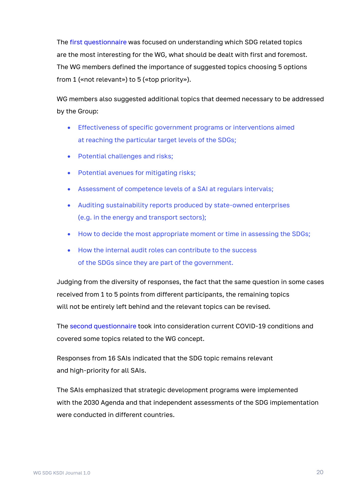The [first questionnaire](https://ach.gov.ru/en/page/wgsdg-ksdi-working-papers) was focused on understanding which SDG related topics are the most interesting for the WG, what should be dealt with first and foremost. The WG members defined the importance of suggested topics choosing 5 options from 1 («not relevant») to 5 («top priority»).

WG members also suggested additional topics that deemed necessary to be addressed by the Group:

- Effectiveness of specific government programs or interventions aimed at reaching the particular target levels of the SDGs;
- Potential challenges and risks;
- Potential avenues for mitigating risks;
- Assessment of competence levels of a SAI at regulars intervals;
- Auditing sustainability reports produced by state-owned enterprises (e.g. in the energy and transport sectors);
- How to decide the most appropriate moment or time in assessing the SDGs;
- How the internal audit roles can contribute to the success of the SDGs since they are part of the government.

Judging from the diversity of responses, the fact that the same question in some cases received from 1 to 5 points from different participants, the remaining topics will not be entirely left behind and the relevant topics can be revised.

The [second questionnaire](https://ach.gov.ru/en/page/wgsdg-ksdi-working-papers) took into consideration current COVID-19 conditions and covered some topics related to the WG concept.

Responses from 16 SAIs indicated that the SDG topic remains relevant and high-priority for all SAIs.

The SAIs emphasized that strategic development programs were implemented with the 2030 Agenda and that independent assessments of the SDG implementation were conducted in different countries.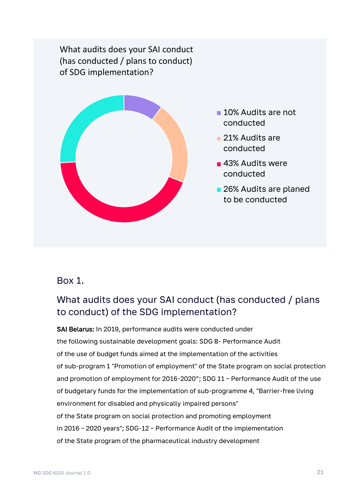What audits does your SAI conduct (has conducted / plans to conduct) of SDG implementation?



- **10% Audits are not** conducted
- **21% Audits are** conducted
- **43% Audits were** conducted
- 26% Audits are planed to be conducted

## Box 1.

# What audits does your SAI conduct (has conducted / plans to conduct) of the SDG implementation?

SAI Belarus: In 2019, performance audits were conducted under the following sustainable development goals: SDG 8- Performance Audit of the use of budget funds aimed at the implementation of the activities of sub-program 1 "Promotion of employment" of the State program on social protection and promotion of employment for 2016-2020"; SDG 11 – Performance Audit of the use of budgetary funds for the implementation of sub-programme 4, "Barrier-free living environment for disabled and physically impaired persons" of the State program on social protection and promoting employment in 2016 – 2020 years"; SDG-12 – Performance Audit of the implementation of the State program of the pharmaceutical industry development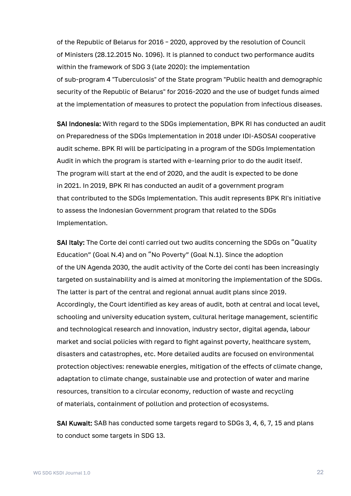of the Republic of Belarus for 2016 – 2020, approved by the resolution of Council of Ministers (28.12.2015 No. 1096). It is planned to conduct two performance audits within the framework of SDG 3 (late 2020): the implementation of sub-program 4 "Tuberculosis" of the State program "Public health and demographic security of the Republic of Belarus" for 2016-2020 and the use of budget funds aimed at the implementation of measures to protect the population from infectious diseases.

SAI Indonesia: With regard to the SDGs implementation, BPK RI has conducted an audit on Preparedness of the SDGs Implementation in 2018 under IDI-ASOSAI cooperative audit scheme. BPK RI will be participating in a program of the SDGs Implementation Audit in which the program is started with e-learning prior to do the audit itself. The program will start at the end of 2020, and the audit is expected to be done in 2021. In 2019, BPK RI has conducted an audit of a government program that contributed to the SDGs Implementation. This audit represents BPK RI's initiative to assess the Indonesian Government program that related to the SDGs Implementation.

SAI Italy: The Corte dei conti carried out two audits concerning the SDGs on "Quality Education" (Goal N.4) and on "No Poverty" (Goal N.1). Since the adoption of the UN Agenda 2030, the audit activity of the Corte dei conti has been increasingly targeted on sustainability and is aimed at monitoring the implementation of the SDGs. The latter is part of the central and regional annual audit plans since 2019. Accordingly, the Court identified as key areas of audit, both at central and local level, schooling and university education system, cultural heritage management, scientific and technological research and innovation, industry sector, digital agenda, labour market and social policies with regard to fight against poverty, healthcare system, disasters and catastrophes, etc. More detailed audits are focused on environmental protection objectives: renewable energies, mitigation of the effects of climate change, adaptation to climate change, sustainable use and protection of water and marine resources, transition to a circular economy, reduction of waste and recycling of materials, containment of pollution and protection of ecosystems.

SAI Kuwait: SAB has conducted some targets regard to SDGs 3, 4, 6, 7, 15 and plans to conduct some targets in SDG 13.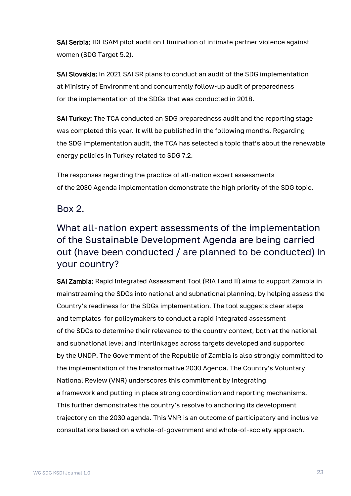SAI Serbia: IDI ISAM pilot audit on Elimination of intimate partner violence against women (SDG Target 5.2).

SAI Slovakia: In 2021 SAI SR plans to conduct an audit of the SDG implementation at Ministry of Environment and concurrently follow-up audit of preparedness for the implementation of the SDGs that was conducted in 2018.

SAI Turkey: The TCA conducted an SDG preparedness audit and the reporting stage was completed this year. It will be published in the following months. Regarding the SDG implementation audit, the TCA has selected a topic that's about the renewable energy policies in Turkey related to SDG 7.2.

The responses regarding the practice of all-nation expert assessments of the 2030 Agenda implementation demonstrate the high priority of the SDG topic.

## Box 2.

# What all-nation expert assessments of the implementation of the Sustainable Development Agenda are being carried out (have been conducted / are planned to be conducted) in your country?

SAI Zambia: Rapid Integrated Assessment Tool (RIA I and II) aims to support Zambia in mainstreaming the SDGs into national and subnational planning, by helping assess the Country's readiness for the SDGs implementation. The tool suggests clear steps and templates for policymakers to conduct a rapid integrated assessment of the SDGs to determine their relevance to the country context, both at the national and subnational level and interlinkages across targets developed and supported by the UNDP. The Government of the Republic of Zambia is also strongly committed to the implementation of the transformative 2030 Agenda. The Country's Voluntary National Review (VNR) underscores this commitment by integrating a framework and putting in place strong coordination and reporting mechanisms. This further demonstrates the country's resolve to anchoring its development trajectory on the 2030 agenda. This VNR is an outcome of participatory and inclusive consultations based on a whole-of-government and whole-of-society approach.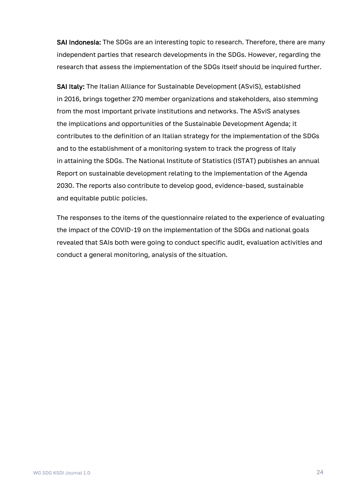SAI Indonesia: The SDGs are an interesting topic to research. Therefore, there are many independent parties that research developments in the SDGs. However, regarding the research that assess the implementation of the SDGs itself should be inquired further.

SAI Italy: The Italian Alliance for Sustainable Development (ASviS), established in 2016, brings together 270 member organizations and stakeholders, also stemming from the most important private institutions and networks. The ASviS analyses the implications and opportunities of the Sustainable Development Agenda; it contributes to the definition of an Italian strategy for the implementation of the SDGs and to the establishment of a monitoring system to track the progress of Italy in attaining the SDGs. The National Institute of Statistics (ISTAT) publishes an annual Report on sustainable development relating to the implementation of the Agenda 2030. The reports also contribute to develop good, evidence-based, sustainable and equitable public policies.

The responses to the items of the questionnaire related to the experience of evaluating the impact of the COVID-19 on the implementation of the SDGs and national goals revealed that SAIs both were going to conduct specific audit, evaluation activities and conduct a general monitoring, analysis of the situation.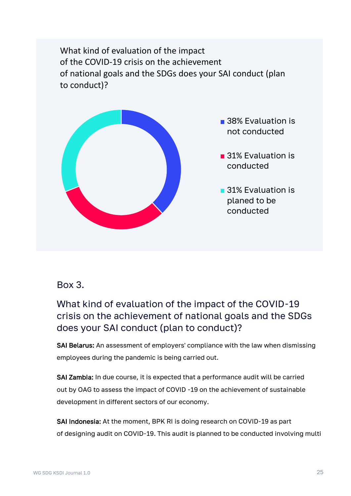What kind of evaluation of the impact of the COVID-19 crisis on the achievement of national goals and the SDGs does your SAI conduct (plan to conduct)?



## Box 3.

What kind of evaluation of the impact of the COVID-19 crisis on the achievement of national goals and the SDGs does your SAI conduct (plan to conduct)?

SAI Belarus: An assessment of employers' compliance with the law when dismissing employees during the pandemic is being carried out.

SAI Zambia: In due course, it is expected that a performance audit will be carried out by OAG to assess the impact of COVID -19 on the achievement of sustainable development in different sectors of our economy.

SAI Indonesia: At the moment, BPK RI is doing research on COVID-19 as part of designing audit on COVID-19. This audit is planned to be conducted involving multi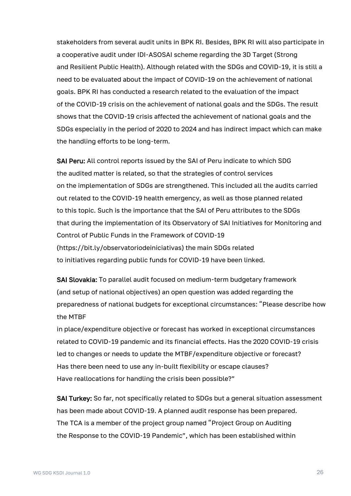stakeholders from several audit units in BPK RI. Besides, BPK RI will also participate in a cooperative audit under IDI-ASOSAI scheme regarding the 3D Target (Strong and Resilient Public Health). Although related with the SDGs and COVID-19, it is still a need to be evaluated about the impact of COVID-19 on the achievement of national goals. BPK RI has conducted a research related to the evaluation of the impact of the COVID-19 crisis on the achievement of national goals and the SDGs. The result shows that the COVID-19 crisis affected the achievement of national goals and the SDGs especially in the period of 2020 to 2024 and has indirect impact which can make the handling efforts to be long-term.

SAI Peru: All control reports issued by the SAI of Peru indicate to which SDG the audited matter is related, so that the strategies of control services on the implementation of SDGs are strengthened. This included all the audits carried out related to the COVID-19 health emergency, as well as those planned related to this topic. Such is the importance that the SAI of Peru attributes to the SDGs that during the implementation of its Observatory of SAI Initiatives for Monitoring and Control of Public Funds in the Framework of COVID-19 (https://bit.ly/observatoriodeiniciativas) the main SDGs related to initiatives regarding public funds for COVID-19 have been linked.

SAI Slovakia: To parallel audit focused on medium-term budgetary framework (and setup of national objectives) an open question was added regarding the preparedness of national budgets for exceptional circumstances: "Please describe how the MTBF

in place/expenditure objective or forecast has worked in exceptional circumstances related to COVID-19 pandemic and its financial effects. Has the 2020 COVID-19 crisis led to changes or needs to update the MTBF/expenditure objective or forecast? Has there been need to use any in-built flexibility or escape clauses? Have reallocations for handling the crisis been possible?"

SAI Turkey: So far, not specifically related to SDGs but a general situation assessment has been made about COVID-19. A planned audit response has been prepared. The TCA is a member of the project group named "Project Group on Auditing the Response to the COVID-19 Pandemic", which has been established within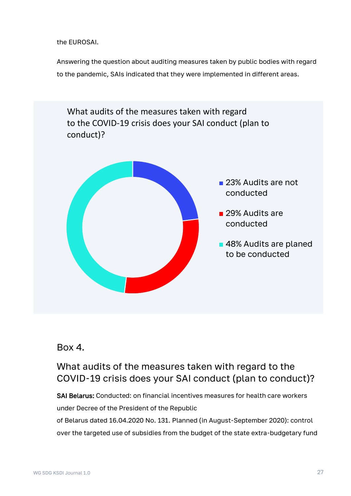the EUROSAI.

Answering the question about auditing measures taken by public bodies with regard to the pandemic, SAIs indicated that they were implemented in different areas.



## Box 4.

What audits of the measures taken with regard to the COVID-19 crisis does your SAI conduct (plan to conduct)?

SAI Belarus: Conducted: on financial incentives measures for health care workers under Decree of the President of the Republic of Belarus dated 16.04.2020 No. 131. Planned (in August-September 2020): control over the targeted use of subsidies from the budget of the state extra-budgetary fund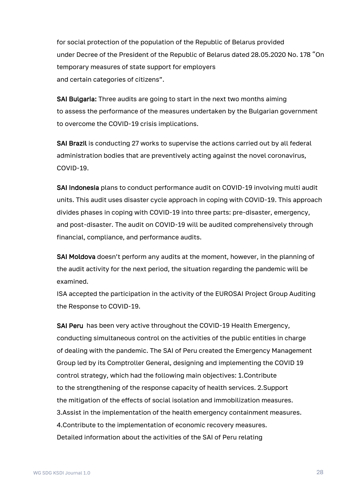for social protection of the population of the Republic of Belarus provided under Decree of the President of the Republic of Belarus dated 28.05.2020 No. 178 "On temporary measures of state support for employers and certain categories of citizens".

SAI Bulgaria: Three audits are going to start in the next two months aiming to assess the performance of the measures undertaken by the Bulgarian government to overcome the COVID-19 crisis implications.

SAI Brazil is conducting 27 works to supervise the actions carried out by all federal administration bodies that are preventively acting against the novel coronavirus, COVID-19.

SAI Indonesia plans to conduct performance audit on COVID-19 involving multi audit units. This audit uses disaster cycle approach in coping with COVID-19. This approach divides phases in coping with COVID-19 into three parts: pre-disaster, emergency, and post-disaster. The audit on COVID-19 will be audited comprehensively through financial, compliance, and performance audits.

SAI Moldova doesn't perform any audits at the moment, however, in the planning of the audit activity for the next period, the situation regarding the pandemic will be examined.

ISA accepted the participation in the activity of the EUROSAI Project Group Auditing the Response to COVID-19.

SAI Peru has been very active throughout the COVID-19 Health Emergency, conducting simultaneous control on the activities of the public entities in charge of dealing with the pandemic. The SAI of Peru created the Emergency Management Group led by its Comptroller General, designing and implementing the COVID 19 control strategy, which had the following main objectives: 1.Contribute to the strengthening of the response capacity of health services. 2.Support the mitigation of the effects of social isolation and immobilization measures. 3.Assist in the implementation of the health emergency containment measures. 4.Contribute to the implementation of economic recovery measures. Detailed information about the activities of the SAI of Peru relating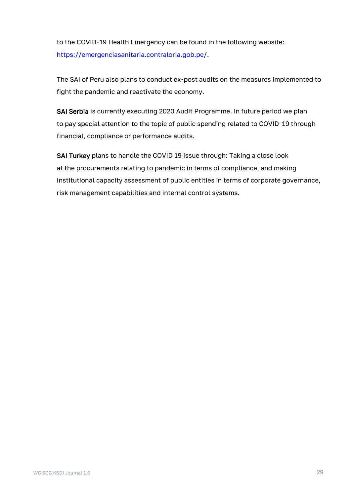to the COVID-19 Health Emergency can be found in the following website: [https://emergenciasanitaria.contraloria.gob.pe/.](https://emergenciasanitaria.contraloria.gob.pe/)

The SAI of Peru also plans to conduct ex-post audits on the measures implemented to fight the pandemic and reactivate the economy.

SAI Serbia is currently executing 2020 Audit Programme. In future period we plan to pay special attention to the topic of public spending related to COVID-19 through financial, compliance or performance audits.

SAI Turkey plans to handle the COVID 19 issue through: Taking a close look at the procurements relating to pandemic in terms of compliance, and making institutional capacity assessment of public entities in terms of corporate governance, risk management capabilities and internal control systems.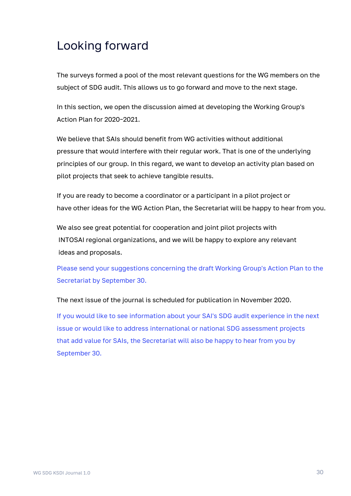# Looking forward

The surveys formed a pool of the most relevant questions for the WG members on the subject of SDG audit. This allows us to go forward and move to the next stage.

In this section, we open the discussion aimed at developing the Working Group's Action Plan for 2020–2021.

We believe that SAIs should benefit from WG activities without additional pressure that would interfere with their regular work. That is one of the underlying principles of our group. In this regard, we want to develop an activity plan based on pilot projects that seek to achieve tangible results.

If you are ready to become a coordinator or a participant in a pilot project or have other ideas for the WG Action Plan, the Secretariat will be happy to hear from you.

We also see great potential for cooperation and joint pilot projects with INTOSAI regional organizations, and we will be happy to explore any relevant ideas and proposals.

Please send your suggestions concerning the draft Working Group's Action Plan to the Secretariat by September 30.

The next issue of the journal is scheduled for publication in November 2020.

If you would like to see information about your SAI's SDG audit experience in the next issue or would like to address international or national SDG assessment projects that add value for SAIs, the Secretariat will also be happy to hear from you by September 30.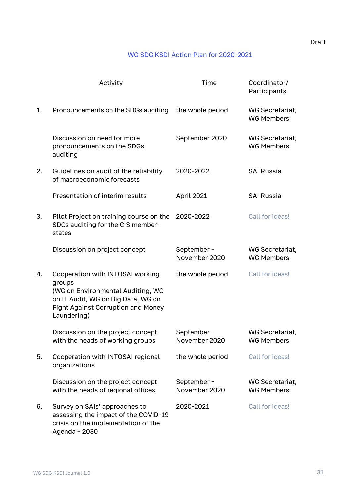#### WG SDG KSDI Action Plan for 2020-2021

|    | Activity                                                                                                                                                                          | Time                        | Coordinator/<br>Participants         |
|----|-----------------------------------------------------------------------------------------------------------------------------------------------------------------------------------|-----------------------------|--------------------------------------|
| 1. | Pronouncements on the SDGs auditing                                                                                                                                               | the whole period            | WG Secretariat,<br><b>WG Members</b> |
|    | Discussion on need for more<br>pronouncements on the SDGs<br>auditing                                                                                                             | September 2020              | WG Secretariat,<br><b>WG Members</b> |
| 2. | Guidelines on audit of the reliability<br>of macroeconomic forecasts                                                                                                              | 2020-2022                   | <b>SAI Russia</b>                    |
|    | Presentation of interim results                                                                                                                                                   | April 2021                  | <b>SAI Russia</b>                    |
| 3. | Pilot Project on training course on the<br>SDGs auditing for the CIS member-<br>states                                                                                            | 2020-2022                   | Call for ideas!                      |
|    | Discussion on project concept                                                                                                                                                     | September-<br>November 2020 | WG Secretariat,<br><b>WG Members</b> |
| 4. | Cooperation with INTOSAI working<br>groups<br>(WG on Environmental Auditing, WG<br>on IT Audit, WG on Big Data, WG on<br><b>Fight Against Corruption and Money</b><br>Laundering) | the whole period            | Call for ideas!                      |
|    | Discussion on the project concept<br>with the heads of working groups                                                                                                             | September-<br>November 2020 | WG Secretariat,<br><b>WG Members</b> |
| 5. | Cooperation with INTOSAI regional<br>organizations                                                                                                                                | the whole period            | Call for ideas!                      |
|    | Discussion on the project concept<br>with the heads of regional offices                                                                                                           | September-<br>November 2020 | WG Secretariat,<br><b>WG Members</b> |
| 6. | Survey on SAIs' approaches to<br>assessing the impact of the COVID-19<br>crisis on the implementation of the<br>Agenda - 2030                                                     | 2020-2021                   | Call for ideas!                      |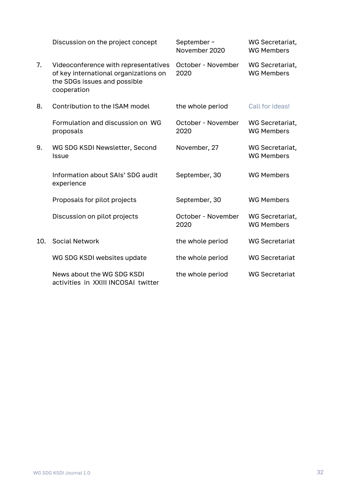|     | Discussion on the project concept                                                                                            | September-<br>November 2020 | WG Secretariat,<br><b>WG Members</b> |
|-----|------------------------------------------------------------------------------------------------------------------------------|-----------------------------|--------------------------------------|
| 7.  | Videoconference with representatives<br>of key international organizations on<br>the SDGs issues and possible<br>cooperation | October - November<br>2020  | WG Secretariat,<br><b>WG Members</b> |
| 8.  | Contribution to the ISAM model                                                                                               | the whole period            | Call for ideas!                      |
|     | Formulation and discussion on WG<br>proposals                                                                                | October - November<br>2020  | WG Secretariat,<br><b>WG Members</b> |
| 9.  | WG SDG KSDI Newsletter, Second<br>Issue                                                                                      | November, 27                | WG Secretariat,<br><b>WG Members</b> |
|     | Information about SAIs' SDG audit<br>experience                                                                              | September, 30               | <b>WG Members</b>                    |
|     | Proposals for pilot projects                                                                                                 | September, 30               | <b>WG Members</b>                    |
|     | Discussion on pilot projects                                                                                                 | October - November<br>2020  | WG Secretariat,<br><b>WG Members</b> |
| 10. | <b>Social Network</b>                                                                                                        | the whole period            | <b>WG Secretariat</b>                |
|     | WG SDG KSDI websites update                                                                                                  | the whole period            | <b>WG Secretariat</b>                |
|     | News about the WG SDG KSDI<br>activities in XXIII INCOSAI twitter                                                            | the whole period            | <b>WG Secretariat</b>                |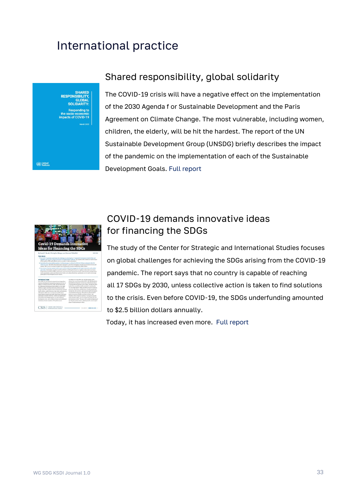# International practice

United<br>Nation

# Shared responsibility, global solidarity

The COVID-19 crisis will have a negative effect on the implementation of the 2030 Agenda f or Sustainable Development and the Paris Agreement on Climate Change. The most vulnerable, including women, children, the elderly, will be hit the hardest. The report of the UN Sustainable Development Group (UNSDG) briefly describes the impact of the pandemic on the implementation of each of the Sustainable Development Goals. [Full report](https://unsdg.un.org/sites/default/files/2020-03/SG-Report-Socio-Economic-Impact-of-Covid19.pdf)



# COVID-19 demands innovative ideas for financing the SDGs

The study of the Center for Strategic and International Studies focuses on global challenges for achieving the SDGs arising from the COVID-19 pandemic. The report says that no country is capable of reaching all 17 SDGs by 2030, unless collective action is taken to find solutions to the crisis. Even before COVID-19, the SDGs underfunding amounted to \$2.5 billion dollars annually.

Today, it has increased even more. [Full report](https://www.csis.org/analysis/covid-19-demands-innovative-ideas-financing-sdgs)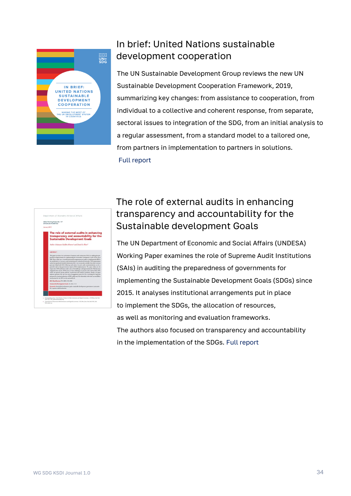

# In brief: United Nations sustainable development cooperation

The UN Sustainable Development Group reviews the new UN Sustainable Development Cooperation Framework, 2019, summarizing key changes: from assistance to cooperation, from individual to a collective and coherent response, from separate, sectoral issues to integration of the SDG, from an initial analysis to a regular assessment, from a standard model to a tailored one, from partners in implementation to partners in solutions. [Full report](https://unsdg.un.org/sites/default/files/2020-01/In-Brief-UN-Sustainable-Development-Cooperation.pdf)



# The role of external audits in enhancing transparency and accountability for the Sustainable development Goals

The UN Department of Economic and Social Affairs (UNDESA) Working Paper examines the role of Supreme Audit Institutions (SAIs) in auditing the preparedness of governments for implementing the Sustainable Development Goals (SDGs) since 2015. It analyses institutional arrangements put in place to implement the SDGs, the allocation of resources, as well as monitoring and evaluation frameworks. The authors also focused on transparency and accountability in the implementation of the SDGs. [Full report](https://www.un.org/esa/desa/papers/2019/wp157_2019.pdf)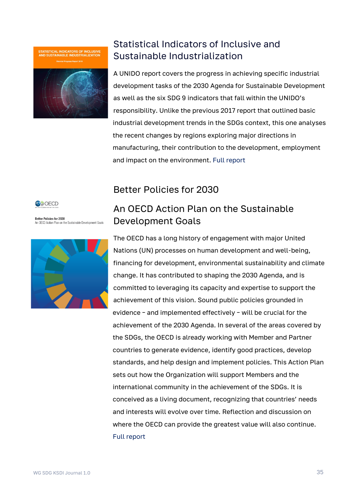**STATISTICAL INDICATORS OF INCLUSIVE**<br>AND SUSTAINABLE INDUSTRIALIZATION



# Statistical Indicators of Inclusive and Sustainable Industrialization

A UNIDO report covers the progress in achieving specific industrial development tasks of the 2030 Agenda for Sustainable Development as well as the six SDG 9 indicators that fall within the UNIDO's responsibility. Unlike the previous 2017 report that outlined basic industrial development trends in the SDGs context, this one analyses the recent changes by regions exploring major directions in manufacturing, their contribution to the development, employment and impact on the environment. [Full report](https://www.unido.org/sites/default/files/files/2019-05/SDG_report_final.pdf)



**Better Policies for 2030 Detter Foricies for 2000**<br>An OECD Action Plan on the Sustainable Development Goals



# Better Policies for 2030

# An OECD Action Plan on the Sustainable Development Goals

The OECD has a long history of engagement with major United Nations (UN) processes on human development and well-being, financing for development, environmental sustainability and climate change. It has contributed to shaping the 2030 Agenda, and is committed to leveraging its capacity and expertise to support the achievement of this vision. Sound public policies grounded in evidence – and implemented effectively – will be crucial for the achievement of the 2030 Agenda. In several of the areas covered by the SDGs, the OECD is already working with Member and Partner countries to generate evidence, identify good practices, develop standards, and help design and implement policies. This Action Plan sets out how the Organization will support Members and the international community in the achievement of the SDGs. It is conceived as a living document, recognizing that countries' needs and interests will evolve over time. Reflection and discussion on where the OECD can provide the greatest value will also continue. [Full report](https://www.oecd.org/dac/Better%20Policies%20for%202030.pdf)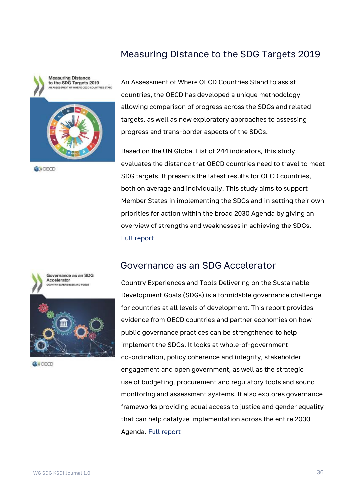## Measuring Distance to the SDG Targets 2019



**O**>OECD



Based on the UN Global List of 244 indicators, this study evaluates the distance that OECD countries need to travel to meet SDG targets. It presents the latest results for OECD countries, both on average and individually. This study aims to support Member States in implementing the SDGs and in setting their own priorities for action within the broad 2030 Agenda by giving an overview of strengths and weaknesses in achieving the SDGs. [Full report](https://www.oecd-ilibrary.org/development/measuring-distance-to-the-sdg-targets-2019_a8caf3fa-en)

#### Governance as an SDG Accelerator

Country Experiences and Tools Delivering on the Sustainable Development Goals (SDGs) is a formidable governance challenge for countries at all levels of development. This report provides evidence from OECD countries and partner economies on how public governance practices can be strengthened to help implement the SDGs. It looks at whole-of-government co-ordination, policy coherence and integrity, stakeholder engagement and open government, as well as the strategic use of budgeting, procurement and regulatory tools and sound monitoring and assessment systems. It also explores governance frameworks providing equal access to justice and gender equality that can help catalyze implementation across the entire 2030 Agenda. [Full report](https://www.oecd-ilibrary.org/governance/governance-as-an-sdg-accelerator_0666b085-en)



Governance as an SDG Accelerator TRY EXPERIENCES AND TOOLS



**ANOFCD**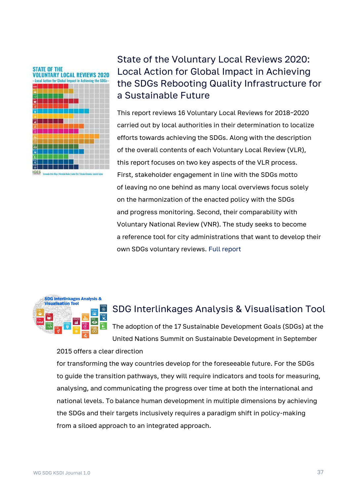

# State of the Voluntary Local Reviews 2020: Local Action for Global Impact in Achieving the SDGs Rebooting Quality Infrastructure for a Sustainable Future

This report reviews 16 Voluntary Local Reviews for 2018–2020 carried out by local authorities in their determination to localize efforts towards achieving the SDGs. Along with the description of the overall contents of each Voluntary Local Review (VLR), this report focuses on two key aspects of the VLR process. First, stakeholder engagement in line with the SDGs motto of leaving no one behind as many local overviews focus solely on the harmonization of the enacted policy with the SDGs and progress monitoring. Second, their comparability with Voluntary National Review (VNR). The study seeks to become a reference tool for city administrations that want to develop their own SDGs voluntary reviews. [Full report](https://www.iges.or.jp/en/pub/vlrs-2020/en)



# SDG Interlinkages Analysis & Visualisation Tool

The adoption of the 17 Sustainable Development Goals (SDGs) at the United Nations Summit on Sustainable Development in September

#### 2015 offers a clear direction

for transforming the way countries develop for the foreseeable future. For the SDGs to guide the transition pathways, they will require indicators and tools for measuring, analysing, and communicating the progress over time at both the international and national levels. To balance human development in multiple dimensions by achieving the SDGs and their targets inclusively requires a paradigm shift in policy-making from a siloed approach to an integrated approach.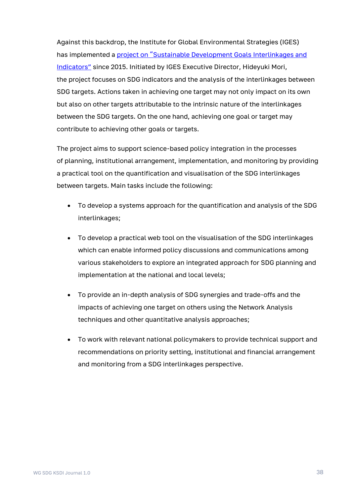Against this backdrop, the Institute for Global Environmental Strategies (IGES) has implemented a project on "Sustainable Development Goals Interlinkages and [Indicators"](https://sdginterlinkages.iges.jp/visualisationtool.html) since 2015. Initiated by IGES Executive Director, Hideyuki Mori, the project focuses on SDG indicators and the analysis of the interlinkages between SDG targets. Actions taken in achieving one target may not only impact on its own but also on other targets attributable to the intrinsic nature of the interlinkages between the SDG targets. On the one hand, achieving one goal or target may contribute to achieving other goals or targets.

The project aims to support science-based policy integration in the processes of planning, institutional arrangement, implementation, and monitoring by providing a practical tool on the quantification and visualisation of the SDG interlinkages between targets. Main tasks include the following:

- To develop a systems approach for the quantification and analysis of the SDG interlinkages;
- To develop a practical web tool on the visualisation of the SDG interlinkages which can enable informed policy discussions and communications among various stakeholders to explore an integrated approach for SDG planning and implementation at the national and local levels;
- To provide an in-depth analysis of SDG synergies and trade-offs and the impacts of achieving one target on others using the Network Analysis techniques and other quantitative analysis approaches;
- To work with relevant national policymakers to provide technical support and recommendations on priority setting, institutional and financial arrangement and monitoring from a SDG interlinkages perspective.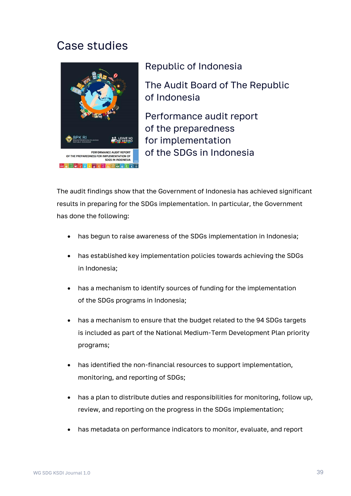# Case studies



## Republic of Indonesia

The Audit Board of The Republic of Indonesia

Performance audit report of the preparedness for implementation of the SDGs in Indonesia

The audit findings show that the Government of Indonesia has achieved significant results in preparing for the SDGs implementation. In particular, the Government has done the following:

- has begun to raise awareness of the SDGs implementation in Indonesia;
- has established key implementation policies towards achieving the SDGs in Indonesia;
- has a mechanism to identify sources of funding for the implementation of the SDGs programs in Indonesia;
- has a mechanism to ensure that the budget related to the 94 SDGs targets is included as part of the National Medium-Term Development Plan priority programs;
- has identified the non-financial resources to support implementation. monitoring, and reporting of SDGs;
- has a plan to distribute duties and responsibilities for monitoring, follow up, review, and reporting on the progress in the SDGs implementation;
- has metadata on performance indicators to monitor, evaluate, and report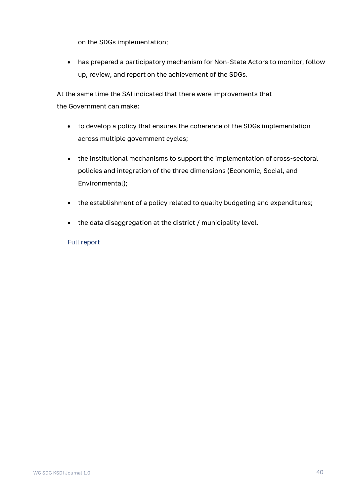on the SDGs implementation;

• has prepared a participatory mechanism for Non-State Actors to monitor, follow up, review, and report on the achievement of the SDGs.

At the same time the SAI indicated that there were improvements that the Government can make:

- to develop a policy that ensures the coherence of the SDGs implementation across multiple government cycles;
- the institutional mechanisms to support the implementation of cross-sectoral policies and integration of the three dimensions (Economic, Social, and Environmental);
- the establishment of a policy related to quality budgeting and expenditures;
- the data disaggregation at the district / municipality level.

#### [Full report](https://www.intosai.org/fileadmin/downloads/focus_areas/SDGs_and_SAIs/sai_preparedness_audits/SDGs_2019_Indonesia_prep_EN.pdf)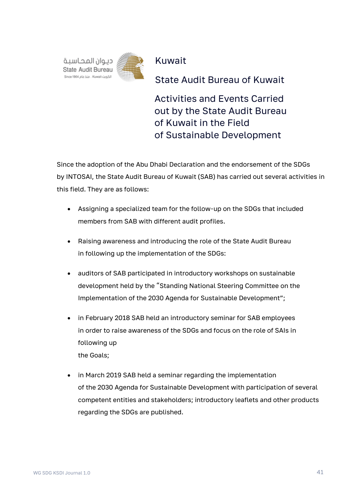

Kuwait

State Audit Bureau of Kuwait

Activities and Events Carried out by the State Audit Bureau of Kuwait in the Field of Sustainable Development

Since the adoption of the Abu Dhabi Declaration and the endorsement of the SDGs by INTOSAI, the State Audit Bureau of Kuwait (SAB) has carried out several activities in this field. They are as follows:

- Assigning a specialized team for the follow-up on the SDGs that included members from SAB with different audit profiles.
- Raising awareness and introducing the role of the State Audit Bureau in following up the implementation of the SDGs:
- auditors of SAB participated in introductory workshops on sustainable development held by the "Standing National Steering Committee on the Implementation of the 2030 Agenda for Sustainable Development";
- in February 2018 SAB held an introductory seminar for SAB employees in order to raise awareness of the SDGs and focus on the role of SAIs in following up the Goals;
- in March 2019 SAB held a seminar regarding the implementation of the 2030 Agenda for Sustainable Development with participation of several competent entities and stakeholders; introductory leaflets and other products regarding the SDGs are published.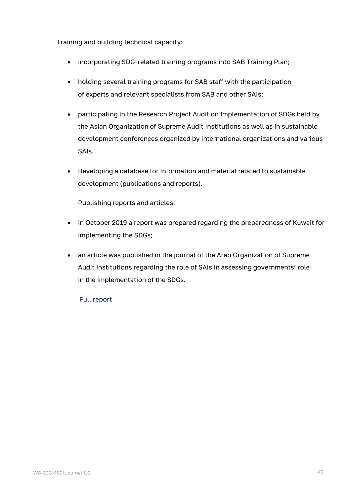Training and building technical capacity:

- incorporating SDG-related training programs into SAB Training Plan;
- holding several training programs for SAB staff with the participation of experts and relevant specialists from SAB and other SAIs;
- participating in the Research Project Audit on Implementation of SDGs held by the Asian Organization of Supreme Audit Institutions as well as in sustainable development conferences organized by international organizations and various SAIs.
- Developing a database for information and material related to sustainable development (publications and reports).

Publishing reports and articles:

- in October 2019 a report was prepared regarding the preparedness of Kuwait for implementing the SDGs;
- an article was published in the journal of the Arab Organization of Supreme Audit Institutions regarding the role of SAIs in assessing governments' role in the implementation of the SDGs.

[Full report](https://www.intosai.org/fileadmin/downloads/focus_areas/SDGs_and_SAIs/sai_activities_sdgs/SDGs_2019_Kuwait_act_EN.pdf)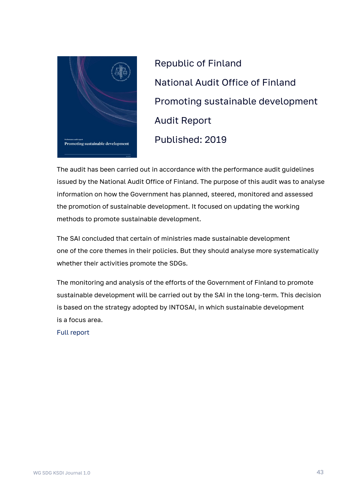

Republic of Finland National Audit Office of Finland Promoting sustainable development Audit Report Published: 2019

The audit has been carried out in accordance with the performance audit guidelines issued by the National Audit Office of Finland. The purpose of this audit was to analyse information on how the Government has planned, steered, monitored and assessed the promotion of sustainable development. It focused on updating the working methods to promote sustainable development.

The SAI concluded that certain of ministries made sustainable development one of the core themes in their policies. But they should analyse more systematically whether their activities promote the SDGs.

The monitoring and analysis of the efforts of the Government of Finland to promote sustainable development will be carried out by the SAI in the long-term. This decision is based on the strategy adopted by INTOSAI, in which sustainable development is a focus area.

[Full report](https://www.vtv.fi/app/uploads/2019/10/NAOF-Audit-14-2019-Promoting-sustainable-development.pdf)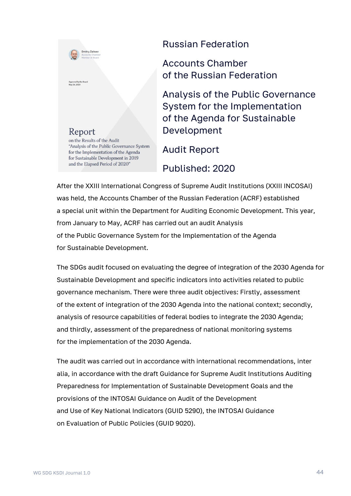

## Russian Federation

Accounts Chamber of the Russian Federation

Analysis of the Public Governance System for the Implementation of the Agenda for Sustainable Development

Audit Report

Published: 2020

After the XXIII International Congress of Supreme Audit Institutions (XXIII INCOSAI) was held, the Accounts Chamber of the Russian Federation (ACRF) established a special unit within the Department for Auditing Economic Development. This year, from January to May, ACRF has carried out an audit Analysis of the Public Governance System for the Implementation of the Agenda for Sustainable Development.

The SDGs audit focused on evaluating the degree of integration of the 2030 Agenda for Sustainable Development and specific indicators into activities related to public governance mechanism. There were three audit objectives: Firstly, assessment of the extent of integration of the 2030 Agenda into the national context; secondly, analysis of resource capabilities of federal bodies to integrate the 2030 Agenda; and thirdly, assessment of the preparedness of national monitoring systems for the implementation of the 2030 Agenda.

The audit was carried out in accordance with international recommendations, inter alia, in accordance with the draft Guidance for Supreme Audit Institutions Auditing Preparedness for Implementation of Sustainable Development Goals and the provisions of the INTOSAI Guidance on Audit of the Development and Use of Key National Indicators (GUID 5290), the INTOSAI Guidance on Evaluation of Public Policies (GUID 9020).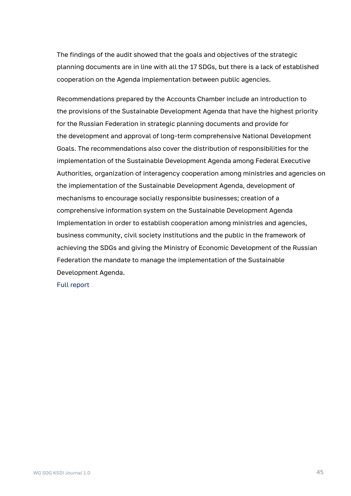The findings of the audit showed that the goals and objectives of the strategic planning documents are in line with all the 17 SDGs, but there is a lack of established cooperation on the Agenda implementation between public agencies.

Recommendations prepared by the Accounts Chamber include an introduction to the provisions of the Sustainable Development Agenda that have the highest priority for the Russian Federation in strategic planning documents and provide for the development and approval of long-term comprehensive National Development Goals. The recommendations also cover the distribution of responsibilities for the implementation of the Sustainable Development Agenda among Federal Executive Authorities, organization of interagency cooperation among ministries and agencies on the implementation of the Sustainable Development Agenda, development of mechanisms to encourage socially responsible businesses; creation of a comprehensive information system on the Sustainable Development Agenda Implementation in order to establish cooperation among ministries and agencies, business community, civil society institutions and the public in the framework of achieving the SDGs and giving the Ministry of Economic Development of the Russian Federation the mandate to manage the implementation of the Sustainable Development Agenda.

#### [Full report](https://ach.gov.ru/upload/bulletin/Journal-AC.pdf)